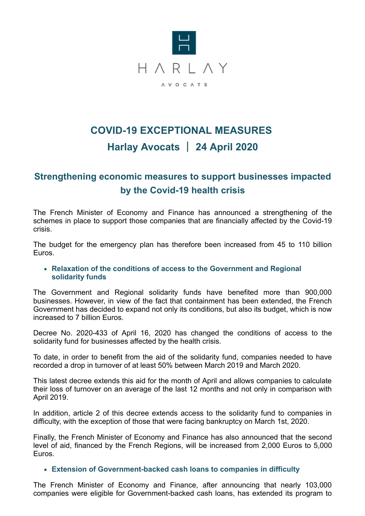

# **COVID-19 EXCEPTIONAL MEASURES Harlay Avocats** | **24 April 2020**

# **Strengthening economic measures to support businesses impacted by the Covid-19 health crisis**

The French Minister of Economy and Finance has announced a strengthening of the schemes in place to support those companies that are financially affected by the Covid-19 crisis.

The budget for the emergency plan has therefore been increased from 45 to 110 billion Euros.

#### **Relaxation of the conditions of access to the Government and Regional solidarity funds**

The Government and Regional solidarity funds have benefited more than 900,000 businesses. However, in view of the fact that containment has been extended, the French Government has decided to expand not only its conditions, but also its budget, which is now increased to 7 billion Euros.

Decree No. 2020-433 of April 16, 2020 has changed the conditions of access to the solidarity fund for businesses affected by the health crisis.

To date, in order to benefit from the aid of the solidarity fund, companies needed to have recorded a drop in turnover of at least 50% between March 2019 and March 2020.

This latest decree extends this aid for the month of April and allows companies to calculate their loss of turnover on an average of the last 12 months and not only in comparison with April 2019.

In addition, article 2 of this decree extends access to the solidarity fund to companies in difficulty, with the exception of those that were facing bankruptcy on March 1st, 2020.

Finally, the French Minister of Economy and Finance has also announced that the second level of aid, financed by the French Regions, will be increased from 2,000 Euros to 5,000 Euros.

## **Extension of Government-backed cash loans to companies in difficulty**

The French Minister of Economy and Finance, after announcing that nearly 103,000 companies were eligible for Government-backed cash loans, has extended its program to